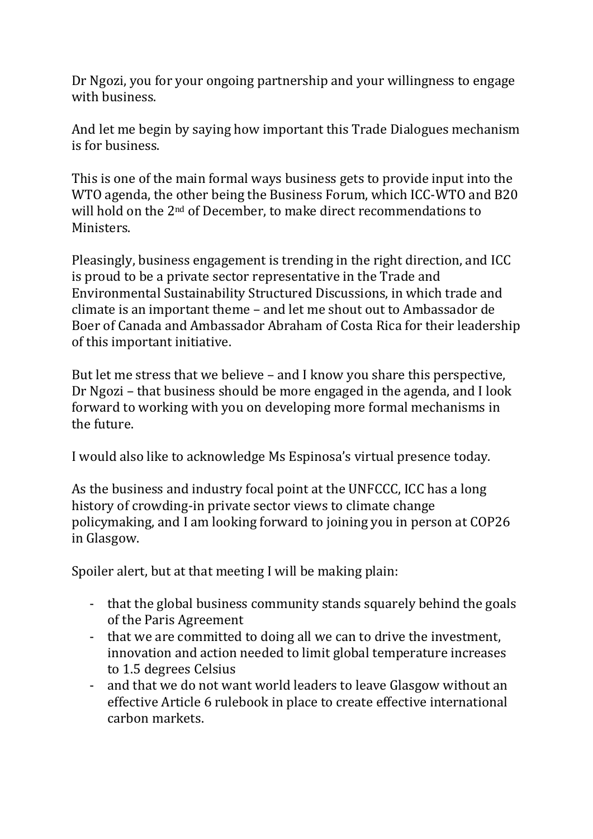Dr Ngozi, you for your ongoing partnership and your willingness to engage with business.

And let me begin by saying how important this Trade Dialogues mechanism is for business.

This is one of the main formal ways business gets to provide input into the WTO agenda, the other being the Business Forum, which ICC-WTO and B20 will hold on the 2<sup>nd</sup> of December, to make direct recommendations to Ministers.

Pleasingly, business engagement is trending in the right direction, and ICC is proud to be a private sector representative in the Trade and Environmental Sustainability Structured Discussions, in which trade and climate is an important theme – and let me shout out to Ambassador de Boer of Canada and Ambassador Abraham of Costa Rica for their leadership of this important initiative.

But let me stress that we believe – and I know you share this perspective, Dr Ngozi – that business should be more engaged in the agenda, and I look forward to working with you on developing more formal mechanisms in the future.

I would also like to acknowledge Ms Espinosa's virtual presence today.

As the business and industry focal point at the UNFCCC, ICC has a long history of crowding-in private sector views to climate change policymaking, and I am looking forward to joining you in person at COP26 in Glasgow.

Spoiler alert, but at that meeting I will be making plain:

- that the global business community stands squarely behind the goals of the Paris Agreement
- that we are committed to doing all we can to drive the investment, innovation and action needed to limit global temperature increases to 1.5 degrees Celsius
- and that we do not want world leaders to leave Glasgow without an effective Article 6 rulebook in place to create effective international carbon markets.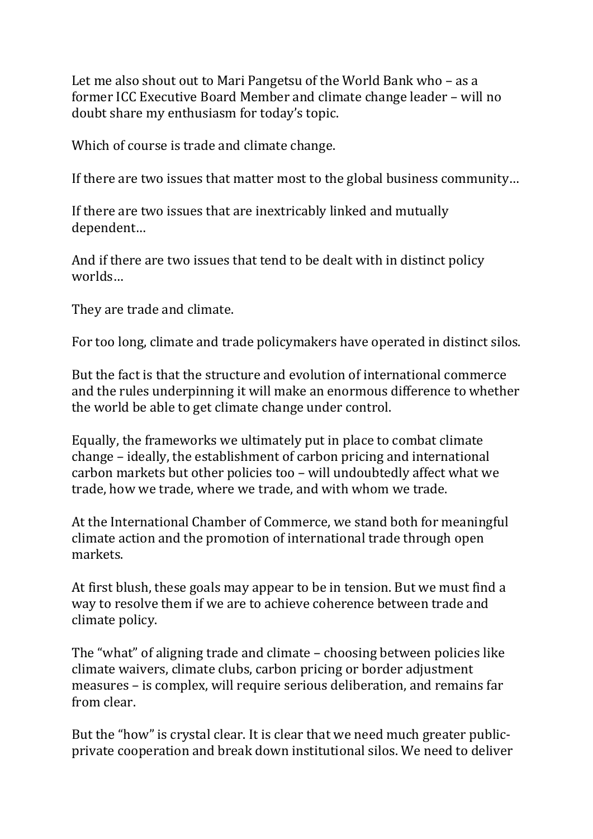Let me also shout out to Mari Pangetsu of the World Bank who – as a former ICC Executive Board Member and climate change leader – will no doubt share my enthusiasm for today's topic.

Which of course is trade and climate change.

If there are two issues that matter most to the global business community…

If there are two issues that are inextricably linked and mutually dependent…

And if there are two issues that tend to be dealt with in distinct policy worlds…

They are trade and climate.

For too long, climate and trade policymakers have operated in distinct silos.

But the fact is that the structure and evolution of international commerce and the rules underpinning it will make an enormous difference to whether the world be able to get climate change under control.

Equally, the frameworks we ultimately put in place to combat climate change – ideally, the establishment of carbon pricing and international carbon markets but other policies too – will undoubtedly affect what we trade, how we trade, where we trade, and with whom we trade.

At the International Chamber of Commerce, we stand both for meaningful climate action and the promotion of international trade through open markets.

At first blush, these goals may appear to be in tension. But we must find a way to resolve them if we are to achieve coherence between trade and climate policy.

The "what" of aligning trade and climate – choosing between policies like climate waivers, climate clubs, carbon pricing or border adjustment measures – is complex, will require serious deliberation, and remains far from clear.

But the "how" is crystal clear. It is clear that we need much greater publicprivate cooperation and break down institutional silos. We need to deliver